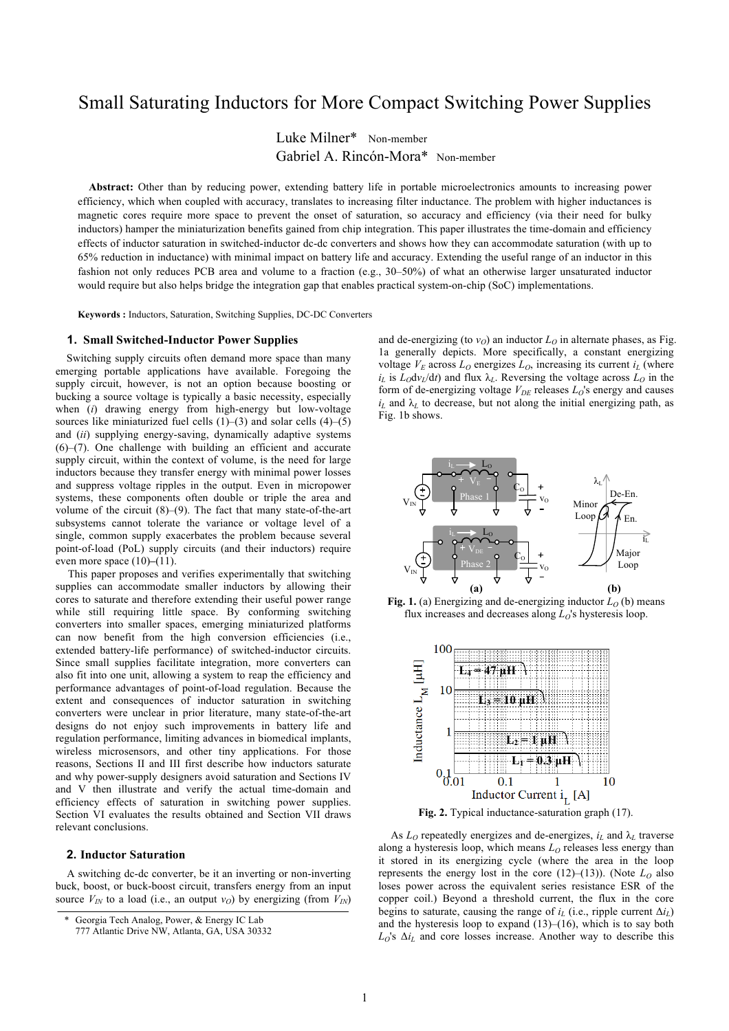# Small Saturating Inductors for More Compact Switching Power Supplies

Luke Milner\* Non-member Gabriel A. Rincón-Mora\* Non-member

**Abstract:** Other than by reducing power, extending battery life in portable microelectronics amounts to increasing power efficiency, which when coupled with accuracy, translates to increasing filter inductance. The problem with higher inductances is magnetic cores require more space to prevent the onset of saturation, so accuracy and efficiency (via their need for bulky inductors) hamper the miniaturization benefits gained from chip integration. This paper illustrates the time-domain and efficiency effects of inductor saturation in switched-inductor dc-dc converters and shows how they can accommodate saturation (with up to 65% reduction in inductance) with minimal impact on battery life and accuracy. Extending the useful range of an inductor in this fashion not only reduces PCB area and volume to a fraction (e.g., 30–50%) of what an otherwise larger unsaturated inductor would require but also helps bridge the integration gap that enables practical system-on-chip (SoC) implementations.

**Keywords :** Inductors, Saturation, Switching Supplies, DC-DC Converters

# **1. Small Switched-Inductor Power Supplies**

Switching supply circuits often demand more space than many emerging portable applications have available. Foregoing the supply circuit, however, is not an option because boosting or bucking a source voltage is typically a basic necessity, especially when (*i*) drawing energy from high-energy but low-voltage sources like miniaturized fuel cells  $(1)$ – $(3)$  and solar cells  $(4)$ – $(5)$ and (*ii*) supplying energy-saving, dynamically adaptive systems (6)–(7). One challenge with building an efficient and accurate supply circuit, within the context of volume, is the need for large inductors because they transfer energy with minimal power losses and suppress voltage ripples in the output. Even in micropower systems, these components often double or triple the area and volume of the circuit (8)–(9). The fact that many state-of-the-art subsystems cannot tolerate the variance or voltage level of a single, common supply exacerbates the problem because several point-of-load (PoL) supply circuits (and their inductors) require even more space (10)**–**(11).

This paper proposes and verifies experimentally that switching supplies can accommodate smaller inductors by allowing their cores to saturate and therefore extending their useful power range while still requiring little space. By conforming switching converters into smaller spaces, emerging miniaturized platforms can now benefit from the high conversion efficiencies (i.e., extended battery-life performance) of switched-inductor circuits. Since small supplies facilitate integration, more converters can also fit into one unit, allowing a system to reap the efficiency and performance advantages of point-of-load regulation. Because the extent and consequences of inductor saturation in switching converters were unclear in prior literature, many state-of-the-art designs do not enjoy such improvements in battery life and regulation performance, limiting advances in biomedical implants, wireless microsensors, and other tiny applications. For those reasons, Sections II and III first describe how inductors saturate and why power-supply designers avoid saturation and Sections IV and V then illustrate and verify the actual time-domain and efficiency effects of saturation in switching power supplies. Section VI evaluates the results obtained and Section VII draws relevant conclusions.

## **2. Inductor Saturation**

A switching dc-dc converter, be it an inverting or non-inverting buck, boost, or buck-boost circuit, transfers energy from an input source  $V_{IN}$  to a load (i.e., an output  $v_O$ ) by energizing (from  $V_{IN}$ ) and de-energizing (to  $v<sub>O</sub>$ ) an inductor  $L<sub>O</sub>$  in alternate phases, as Fig. 1a generally depicts. More specifically, a constant energizing voltage  $V_E$  across  $L_O$  energizes  $L_O$ , increasing its current  $i_L$  (where  $i_L$  is  $L_O$ d $v_L$ /dt) and flux  $\lambda_L$ . Reversing the voltage across  $L_O$  in the form of de-energizing voltage  $V_{DE}$  releases  $L_O$ 's energy and causes  $i_L$  and  $\lambda_L$  to decrease, but not along the initial energizing path, as Fig. 1b shows.



**Fig. 1.** (a) Energizing and de-energizing inductor  $L_0$  (b) means flux increases and decreases along *LO*'s hysteresis loop.



As  $L_0$  repeatedly energizes and de-energizes,  $i_L$  and  $\lambda_L$  traverse along a hysteresis loop, which means  $L_0$  releases less energy than it stored in its energizing cycle (where the area in the loop represents the energy lost in the core  $(12)$ – $(13)$ ). (Note  $L_0$  also loses power across the equivalent series resistance ESR of the copper coil.) Beyond a threshold current, the flux in the core begins to saturate, causing the range of  $i_L$  (i.e., ripple current  $\Delta i_L$ ) and the hysteresis loop to expand  $(13)$ – $(16)$ , which is to say both  $L_0$ 's  $\Delta i_L$  and core losses increase. Another way to describe this

Georgia Tech Analog, Power, & Energy IC Lab

<sup>777</sup> Atlantic Drive NW, Atlanta, GA, USA 30332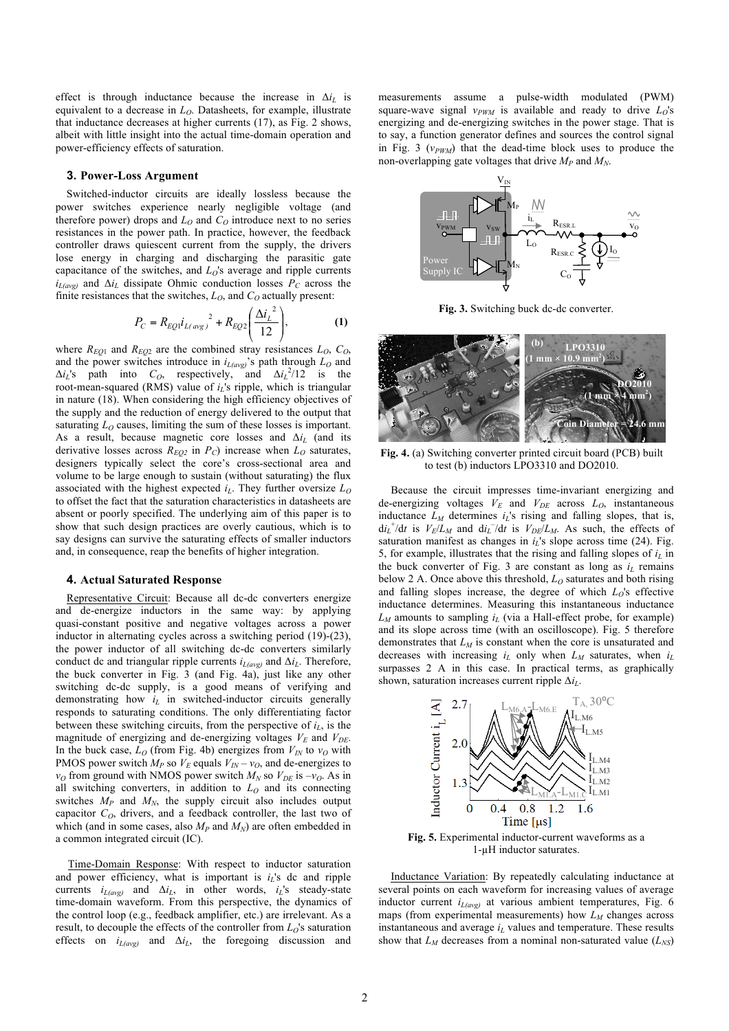effect is through inductance because the increase in  $\Delta i_L$  is equivalent to a decrease in  $L_0$ . Datasheets, for example, illustrate that inductance decreases at higher currents (17), as Fig. 2 shows, albeit with little insight into the actual time-domain operation and power-efficiency effects of saturation.

## **3. Power-Loss Argument**

Switched-inductor circuits are ideally lossless because the power switches experience nearly negligible voltage (and therefore power) drops and  $L_0$  and  $C_0$  introduce next to no series resistances in the power path. In practice, however, the feedback controller draws quiescent current from the supply, the drivers lose energy in charging and discharging the parasitic gate capacitance of the switches, and  $L_0$ 's average and ripple currents  $i_{L(\text{avg})}$  and  $\Delta i_L$  dissipate Ohmic conduction losses  $\overline{P}_C$  across the finite resistances that the switches,  $L_0$ , and  $C_0$  actually present:

$$
P_C = R_{EQ1}i_{L(\text{avg})}^2 + R_{EQ2} \left( \frac{\Delta i_L^2}{12} \right), \tag{1}
$$

where  $R_{EO1}$  and  $R_{EO2}$  are the combined stray resistances  $L_O$ ,  $C_O$ , and the power switches introduce in  $i_{L(avg)}$ 's path through  $L_0$  and  $\Delta i_L$ 's path into  $C_O$ , respectively, and  $\Delta i_L^2/12$  is the root-mean-squared (RMS) value of *i<sub>L</sub>'s* ripple, which is triangular in nature (18). When considering the high efficiency objectives of the supply and the reduction of energy delivered to the output that saturating  $L_0$  causes, limiting the sum of these losses is important. As a result, because magnetic core losses and  $\Delta i_L$  (and its derivative losses across  $R_{EQ2}$  in  $P_C$ ) increase when  $L_0$  saturates, designers typically select the core's cross-sectional area and volume to be large enough to sustain (without saturating) the flux associated with the highest expected  $i_l$ . They further oversize  $L_0$ to offset the fact that the saturation characteristics in datasheets are absent or poorly specified. The underlying aim of this paper is to show that such design practices are overly cautious, which is to say designs can survive the saturating effects of smaller inductors and, in consequence, reap the benefits of higher integration.

#### **4. Actual Saturated Response**

Representative Circuit: Because all dc-dc converters energize and de-energize inductors in the same way: by applying quasi-constant positive and negative voltages across a power inductor in alternating cycles across a switching period (19)-(23), the power inductor of all switching dc-dc converters similarly conduct dc and triangular ripple currents  $i_{L(avg)}$  and  $\Delta i_L$ . Therefore, the buck converter in Fig. 3 (and Fig. 4a), just like any other switching dc-dc supply, is a good means of verifying and demonstrating how *i<sub>L</sub>* in switched-inductor circuits generally responds to saturating conditions. The only differentiating factor between these switching circuits, from the perspective of  $i_l$ , is the magnitude of energizing and de-energizing voltages  $V_E$  and  $V_{DE}$ . In the buck case,  $L_0$  (from Fig. 4b) energizes from  $V_{IN}$  to  $v_0$  with PMOS power switch  $M_P$  so  $V_E$  equals  $V_{IN} - v_O$ , and de-energizes to  $v<sub>O</sub>$  from ground with NMOS power switch  $M<sub>N</sub>$  so  $V<sub>DE</sub>$  is  $-v<sub>O</sub>$ . As in all switching converters, in addition to  $L_0$  and its connecting switches  $M_P$  and  $M_N$ , the supply circuit also includes output capacitor  $C<sub>O</sub>$ , drivers, and a feedback controller, the last two of which (and in some cases, also  $M_p$  and  $M_N$ ) are often embedded in a common integrated circuit (IC).

Time-Domain Response: With respect to inductor saturation and power efficiency, what is important is *iL*'s dc and ripple currents  $i_{L(avg)}$  and  $\Delta i_L$ , in other words,  $i_L$ 's steady-state time-domain waveform. From this perspective, the dynamics of the control loop (e.g., feedback amplifier, etc.) are irrelevant. As a result, to decouple the effects of the controller from  $L_0$ 's saturation effects on  $i_{L(avg)}$  and  $\Delta i_L$ , the foregoing discussion and measurements assume a pulse-width modulated (PWM) square-wave signal  $v_{PWM}$  is available and ready to drive  $L_0$ 's energizing and de-energizing switches in the power stage. That is to say, a function generator defines and sources the control signal in Fig. 3  $(v_{PWM})$  that the dead-time block uses to produce the non-overlapping gate voltages that drive  $M_p$  and  $M_N$ .



**Fig. 3.** Switching buck dc-dc converter.



**Fig. 4.** (a) Switching converter printed circuit board (PCB) built to test (b) inductors LPO3310 and DO2010.

Because the circuit impresses time-invariant energizing and de-energizing voltages  $V_E$  and  $V_{DE}$  across  $L_O$ , instantaneous inductance  $L_M$  determines  $i_L$ 's rising and falling slopes, that is,  $di_{L}^{+}/dt$  is  $V_{E}/L_{M}$  and  $di_{L}^{-}/dt$  is  $V_{DE}/L_{M}$ . As such, the effects of saturation manifest as changes in  $i<sub>L</sub>$ 's slope across time (24). Fig. 5, for example, illustrates that the rising and falling slopes of  $i_l$  in the buck converter of Fig. 3 are constant as long as  $i_l$  remains below 2 A. Once above this threshold,  $L<sub>O</sub>$  saturates and both rising and falling slopes increase, the degree of which *LO*'s effective inductance determines. Measuring this instantaneous inductance  $L_M$  amounts to sampling  $i_L$  (via a Hall-effect probe, for example) and its slope across time (with an oscilloscope). Fig. 5 therefore demonstrates that  $L_M$  is constant when the core is unsaturated and decreases with increasing  $i_L$  only when  $L_M$  saturates, when  $i_L$ surpasses 2 A in this case. In practical terms, as graphically shown, saturation increases current ripple Δ*iL*.



**Fig. 5.** Experimental inductor-current waveforms as a 1-µH inductor saturates.

Inductance Variation: By repeatedly calculating inductance at several points on each waveform for increasing values of average inductor current  $i_{L(avg)}$  at various ambient temperatures, Fig. 6 maps (from experimental measurements) how  $L_M$  changes across instantaneous and average  $i_l$  values and temperature. These results show that  $L_M$  decreases from a nominal non-saturated value  $(L_{NS})$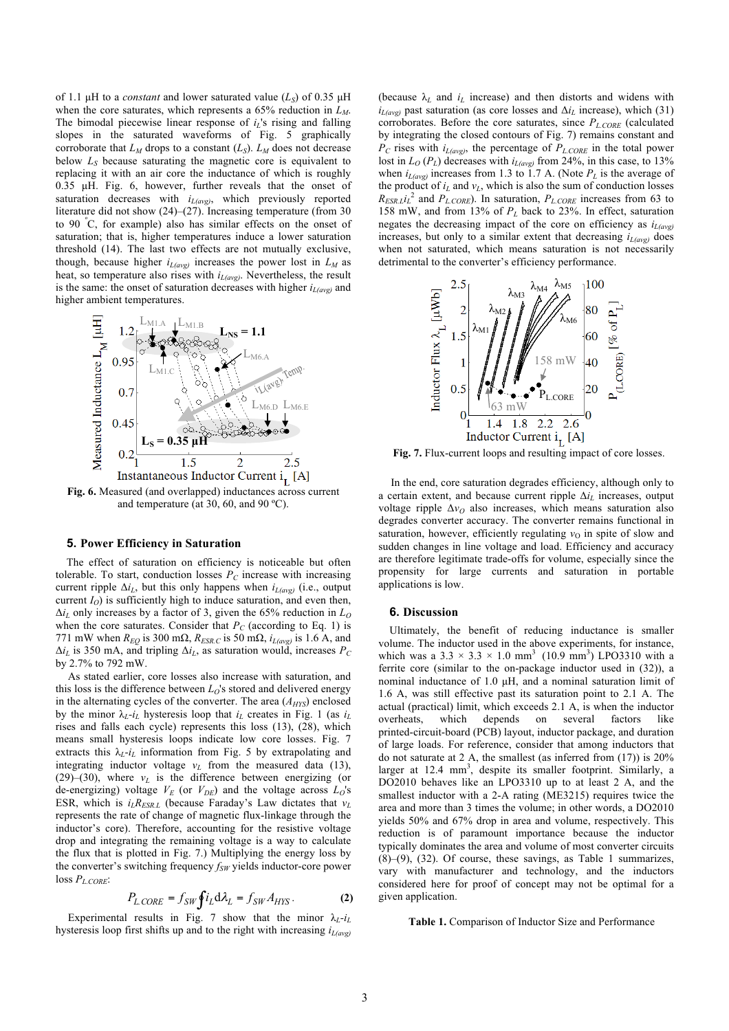of 1.1  $\mu$ H to a *constant* and lower saturated value ( $L_s$ ) of 0.35  $\mu$ H when the core saturates, which represents a 65% reduction in  $L_M$ . The bimodal piecewise linear response of  $i_l$ 's rising and falling slopes in the saturated waveforms of Fig. 5 graphically corroborate that  $L_M$  drops to a constant  $(L_S)$ .  $L_M$  does not decrease below  $L<sub>S</sub>$  because saturating the magnetic core is equivalent to replacing it with an air core the inductance of which is roughly 0.35 µH. Fig. 6, however, further reveals that the onset of saturation decreases with  $i_{L(avg)}$ , which previously reported literature did not show (24)–(27). Increasing temperature (from 30 to 90 <sup>º</sup> C, for example) also has similar effects on the onset of saturation; that is, higher temperatures induce a lower saturation threshold (14). The last two effects are not mutually exclusive, though, because higher  $i_{L(\text{avg})}$  increases the power lost in  $L_M$  as heat, so temperature also rises with  $i_{L(wg)}$ . Nevertheless, the result is the same: the onset of saturation decreases with higher  $i_{L(avg)}$  and higher ambient temperatures.

![](_page_2_Figure_1.jpeg)

**Fig. 6.** Measured (and overlapped) inductances across current and temperature (at 30, 60, and 90 ºC).

#### **5. Power Efficiency in Saturation**

The effect of saturation on efficiency is noticeable but often tolerable. To start, conduction losses  $P_C$  increase with increasing current ripple Δ*iL*, but this only happens when *iL(avg)* (i.e., output current  $I_O$ ) is sufficiently high to induce saturation, and even then,  $\Delta i_L$  only increases by a factor of 3, given the 65% reduction in  $L_0$ when the core saturates. Consider that  $P_C$  (according to Eq. 1) is 771 mW when  $R_{EO}$  is 300 m $\Omega$ ,  $R_{ESR.C}$  is 50 m $\Omega$ ,  $i_{L(avg)}$  is 1.6 A, and  $\Delta i_L$  is 350 mA, and tripling  $\Delta i_L$ , as saturation would, increases  $P_C$ by 2.7% to 792 mW.

As stated earlier, core losses also increase with saturation, and this loss is the difference between  $L<sub>O</sub>$ 's stored and delivered energy in the alternating cycles of the converter. The area ( $A<sub>HYS</sub>$ ) enclosed by the minor  $\lambda_L$ -*i*<sub>L</sub> hysteresis loop that *i*<sub>L</sub> creates in Fig. 1 (as *i*<sub>L</sub> rises and falls each cycle) represents this loss (13), (28), which means small hysteresis loops indicate low core losses. Fig. 7 extracts this  $\lambda_L - i_L$  information from Fig. 5 by extrapolating and integrating inductor voltage  $v_L$  from the measured data (13),  $(29)$ – $(30)$ , where  $v<sub>L</sub>$  is the difference between energizing (or de-energizing) voltage  $V_E$  (or  $V_{DE}$ ) and the voltage across  $L_O$ 's ESR, which is  $i_L R_{ESRL}$  (because Faraday's Law dictates that  $v_L$ represents the rate of change of magnetic flux-linkage through the inductor's core). Therefore, accounting for the resistive voltage drop and integrating the remaining voltage is a way to calculate the flux that is plotted in Fig. 7.) Multiplying the energy loss by the converter's switching frequency *f<sub>SW</sub>* yields inductor-core power  $\log P_{L.CORE}$ 

$$
P_{L \text{CORE}} = f_{SW} \oint i_L \mathrm{d} \lambda_L = f_{SW} A_{HYS} \,. \tag{2}
$$

Experimental results in Fig. 7 show that the minor  $\lambda_L - i_L$ hysteresis loop first shifts up and to the right with increasing *iL(avg)* (because  $\lambda_L$  and  $i_L$  increase) and then distorts and widens with  $i_{L(\text{avg})}$  past saturation (as core losses and  $\Delta i_L$  increase), which (31) corroborates. Before the core saturates, since *PL.CORE* (calculated by integrating the closed contours of Fig. 7) remains constant and  $P_C$  rises with  $i_{L(wg)}$ , the percentage of  $P_{L,CORE}$  in the total power lost in  $L_0(P_L)$  decreases with  $i_{L(cyc)}$  from 24%, in this case, to 13% when  $i_{L(\text{avg})}$  increases from 1.3 to 1.7 A. (Note  $P_L$  is the average of the product of  $i_L$  and  $v_L$ , which is also the sum of conduction losses  $R_{ESR,L}i_L^2$  and  $P_{L.CORE}$ . In saturation,  $P_{L.CORE}$  increases from 63 to 158 mW, and from 13% of *PL* back to 23%. In effect, saturation negates the decreasing impact of the core on efficiency as  $i_{L(\text{avg})}$ increases, but only to a similar extent that decreasing  $i_{L(avg)}$  does when not saturated, which means saturation is not necessarily detrimental to the converter's efficiency performance.

![](_page_2_Figure_9.jpeg)

**Fig. 7.** Flux-current loops and resulting impact of core losses.

In the end, core saturation degrades efficiency, although only to a certain extent, and because current ripple Δ*iL* increases, output voltage ripple  $\Delta v_Q$  also increases, which means saturation also degrades converter accuracy. The converter remains functional in saturation, however, efficiently regulating  $v<sub>O</sub>$  in spite of slow and sudden changes in line voltage and load. Efficiency and accuracy are therefore legitimate trade-offs for volume, especially since the propensity for large currents and saturation in portable applications is low.

## **6. Discussion**

Ultimately, the benefit of reducing inductance is smaller volume. The inductor used in the above experiments, for instance, which was a  $3.3 \times 3.3 \times 1.0$  mm<sup>3</sup> (10.9 mm<sup>3</sup>) LPO3310 with a ferrite core (similar to the on-package inductor used in (32)), a nominal inductance of 1.0 µH, and a nominal saturation limit of 1.6 A, was still effective past its saturation point to 2.1 A. The actual (practical) limit, which exceeds 2.1 A, is when the inductor overheats, which depends on several factors like printed-circuit-board (PCB) layout, inductor package, and duration of large loads. For reference, consider that among inductors that do not saturate at 2 A, the smallest (as inferred from (17)) is 20% larger at  $12.4 \text{ mm}^3$ , despite its smaller footprint. Similarly, a DO2010 behaves like an LPO3310 up to at least 2 A, and the smallest inductor with a 2-A rating (ME3215) requires twice the area and more than 3 times the volume; in other words, a DO2010 yields 50% and 67% drop in area and volume, respectively. This reduction is of paramount importance because the inductor typically dominates the area and volume of most converter circuits (8)–(9), (32). Of course, these savings, as Table 1 summarizes, vary with manufacturer and technology, and the inductors considered here for proof of concept may not be optimal for a given application.

**Table 1.** Comparison of Inductor Size and Performance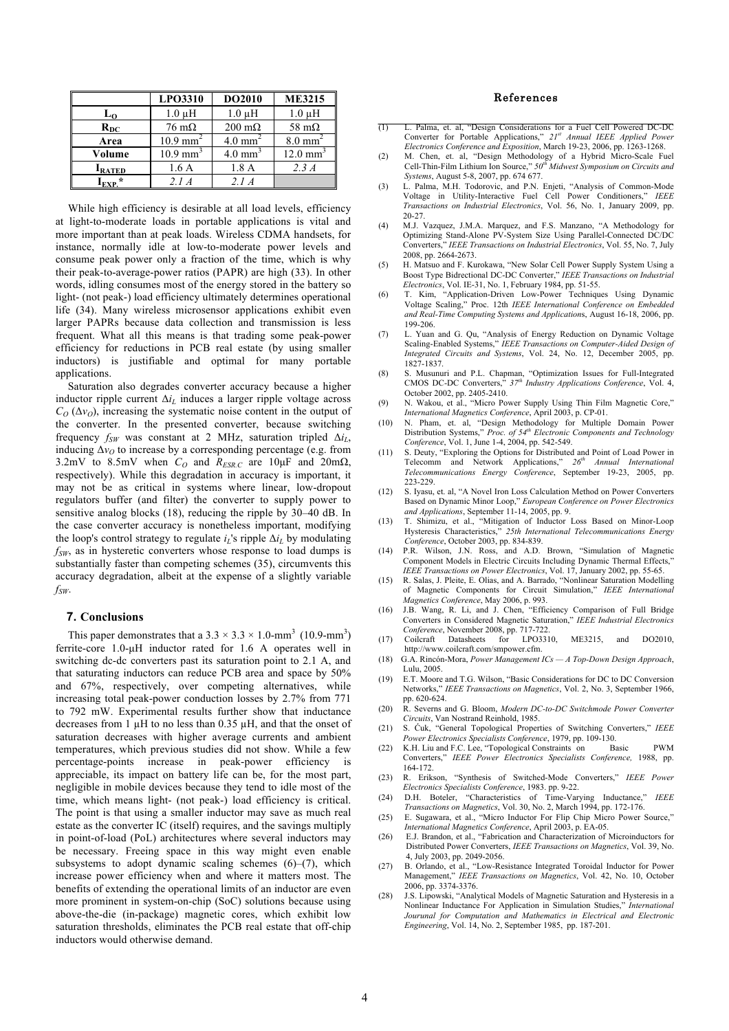|                | LPO3310                | <b>DO2010</b>         | <b>ME3215</b>      |
|----------------|------------------------|-----------------------|--------------------|
| L <sub>O</sub> | $1.0 \mu H$            | $1.0 \mu H$           | $1.0 \mu H$        |
| $R_{DC}$       | $76 \text{ m}\Omega$   | $200 \text{ m}\Omega$ | 58 $m\Omega$       |
| Area           | $10.9$ mm <sup>2</sup> | $4.0 \text{ mm}^2$    | $8.0 \text{ mm}^2$ |
| Volume         | $10.9$ mm <sup>3</sup> | $4.0 \text{ mm}^3$    | $12.0 \text{ mm}$  |
| <b>I</b> RATED | 1.6A                   | 1.8A                  | 2.3A               |
| $I_{EXP.}$ *   | 2.1A                   | 21A                   |                    |

While high efficiency is desirable at all load levels, efficiency at light-to-moderate loads in portable applications is vital and more important than at peak loads. Wireless CDMA handsets, for instance, normally idle at low-to-moderate power levels and consume peak power only a fraction of the time, which is why their peak-to-average-power ratios (PAPR) are high (33). In other words, idling consumes most of the energy stored in the battery so light- (not peak-) load efficiency ultimately determines operational life (34). Many wireless microsensor applications exhibit even larger PAPRs because data collection and transmission is less frequent. What all this means is that trading some peak-power efficiency for reductions in PCB real estate (by using smaller inductors) is justifiable and optimal for many portable applications.

Saturation also degrades converter accuracy because a higher inductor ripple current  $\Delta i_L$  induces a larger ripple voltage across  $C<sub>O</sub> (\Delta v<sub>O</sub>)$ , increasing the systematic noise content in the output of the converter. In the presented converter, because switching frequency  $f_{SW}$  was constant at 2 MHz, saturation tripled Δ*i<sub>L</sub>*, inducing  $\Delta v$ <sup>0</sup> to increase by a corresponding percentage (e.g. from 3.2mV to 8.5mV when  $C_Q$  and  $R_{ESRC}$  are 10 $\mu$ F and 20m $\Omega$ , respectively). While this degradation in accuracy is important, it may not be as critical in systems where linear, low-dropout regulators buffer (and filter) the converter to supply power to sensitive analog blocks (18), reducing the ripple by 30–40 dB. In the case converter accuracy is nonetheless important, modifying the loop's control strategy to regulate  $i_L$ 's ripple  $\Delta i_L$  by modulating  $f_{SW}$ , as in hysteretic converters whose response to load dumps is substantially faster than competing schemes (35), circumvents this accuracy degradation, albeit at the expense of a slightly variable  $f_{SW}$ 

## **7. Conclusions**

This paper demonstrates that a  $3.3 \times 3.3 \times 1.0$ -mm<sup>3</sup> (10.9-mm<sup>3</sup>) ferrite-core 1.0-µH inductor rated for 1.6 A operates well in switching dc-dc converters past its saturation point to 2.1 A, and that saturating inductors can reduce PCB area and space by 50% and 67%, respectively, over competing alternatives, while increasing total peak-power conduction losses by 2.7% from 771 to 792 mW. Experimental results further show that inductance decreases from 1  $\mu$ H to no less than 0.35  $\mu$ H, and that the onset of saturation decreases with higher average currents and ambient temperatures, which previous studies did not show. While a few percentage-points increase in peak-power efficiency is appreciable, its impact on battery life can be, for the most part, negligible in mobile devices because they tend to idle most of the time, which means light- (not peak-) load efficiency is critical. The point is that using a smaller inductor may save as much real estate as the converter IC (itself) requires, and the savings multiply in point-of-load (PoL) architectures where several inductors may be necessary. Freeing space in this way might even enable subsystems to adopt dynamic scaling schemes  $(6)$ – $(7)$ , which increase power efficiency when and where it matters most. The benefits of extending the operational limits of an inductor are even more prominent in system-on-chip (SoC) solutions because using above-the-die (in-package) magnetic cores, which exhibit low saturation thresholds, eliminates the PCB real estate that off-chip inductors would otherwise demand.

# References

- (1) L. Palma, et. al, "Design Considerations for a Fuel Cell Powered DC-DC Converter for Portable Applications," *21st Annual IEEE Applied Power Electronics Conference and Exposition*, March 19-23, 2006, pp. 1263-1268.
- (2) M. Chen, et. al, "Design Methodology of a Hybrid Micro-Scale Fuel Cell-Thin-Film Lithium Ion Source," *50th Midwest Symposium on Circuits and Systems*, August 5-8, 2007, pp. 674 677.
- (3) L. Palma, M.H. Todorovic, and P.N. Enjeti, "Analysis of Common-Mode Voltage in Utility-Interactive Fuel Cell Power Conditioners," *IEEE Transactions on Industrial Electronics*, Vol. 56, No. 1, January 2009, pp. 20-27.
- (4) M.J. Vazquez, J.M.A. Marquez, and F.S. Manzano, "A Methodology for Optimizing Stand-Alone PV-System Size Using Parallel-Connected DC/DC Converters," *IEEE Transactions on Industrial Electronics*, Vol. 55, No. 7, July 2008, pp. 2664-2673.
- (5) H. Matsuo and F. Kurokawa, "New Solar Cell Power Supply System Using a Boost Type Bidrectional DC-DC Converter," *IEEE Transactions on Industrial Electronics*, Vol. IE-31, No. 1, February 1984, pp. 51-55.
- (6) T. Kim, "Application-Driven Low-Power Techniques Using Dynamic Voltage Scaling," Proc. 12th *IEEE International Conference on Embedded and Real-Time Computing Systems and Application*s, August 16-18, 2006, pp. 199-206.
- (7) L. Yuan and G. Qu, "Analysis of Energy Reduction on Dynamic Voltage Scaling-Enabled Systems," *IEEE Transactions on Computer-Aided Design of Integrated Circuits and Systems*, Vol. 24, No. 12, December 2005, pp. 1827-1837.
- (8) S. Musunuri and P.L. Chapman, "Optimization Issues for Full-Integrated CMOS DC-DC Converters," *37th Industry Applications Conference*, Vol. 4, October 2002, pp. 2405-2410.
- (9) N. Wakou, et al., "Micro Power Supply Using Thin Film Magnetic Core," *International Magnetics Conference*, April 2003, p. CP-01.
- (10) N. Pham, et. al, "Design Methodology for Multiple Domain Power Distribution Systems," *Proc. of 54th Electronic Components and Technology Conference*, Vol. 1, June 1-4, 2004, pp. 542-549.
- (11) S. Deuty, "Exploring the Options for Distributed and Point of Load Power in Telecomm and Network Applications."  $26<sup>th</sup>$  Annual International Telecomm and Network Applications," *26th Annual International Telecommunications Energy Conference*, September 19-23, 2005, pp. 223-229.
- (12) S. Iyasu, et. al, "A Novel Iron Loss Calculation Method on Power Converters Based on Dynamic Minor Loop," *European Conference on Power Electronics and Applications*, September 11-14, 2005, pp. 9.
- (13) T. Shimizu, et al., "Mitigation of Inductor Loss Based on Minor-Loop Hysteresis Characteristics," *25th International Telecommunications Energy Conference*, October 2003, pp. 834-839.
- (14) P.R. Wilson, J.N. Ross, and A.D. Brown, "Simulation of Magnetic Component Models in Electric Circuits Including Dynamic Thermal Effects,' *IEEE Transactions on Power Electronics*, Vol. 17, January 2002, pp. 55-65.
- (15) R. Salas, J. Pleite, E. Olias, and A. Barrado, "Nonlinear Saturation Modelling of Magnetic Components for Circuit Simulation," *IEEE International Magnetics Conference*, May 2006, p. 993. (16) J.B. Wang, R. Li, and J. Chen, "Efficiency Comparison of Full Bridge
- Converters in Considered Magnetic Saturation," *IEEE Industrial Electronics Conference*, November 2008, pp. 717-722.<br>Coilcraft Datasheets for LPO3310,
- (17) Coilcraft Datasheets for LPO3310, ME3215, and DO2010, http://www.coilcraft.com/smpower.cfm.
- (18) G.A. Rincón-Mora, *Power Management ICs — A Top-Down Design Approach*, Lulu, 2005.
- (19) E.T. Moore and T.G. Wilson, "Basic Considerations for DC to DC Conversion Networks," *IEEE Transactions on Magnetics*, Vol. 2, No. 3, September 1966, pp. 620-624.
- (20) R. Severns and G. Bloom, *Modern DC-to-DC Switchmode Power Converter Circuits*, Van Nostrand Reinhold, 1985.
- (21) S. Ćuk, "General Topological Properties of Switching Converters," *IEEE Power Electronics Specialists Conference*, 1979, pp. 109-130.
- (22) K.H. Liu and F.C. Lee, "Topological Constraints on Basic PWM Converters," *IEEE Power Electronics Specialists Conference,* 1988, pp. 164-172.
- (23) R. Erikson, "Synthesis of Switched-Mode Converters," *IEEE Power Electronics Specialists Conference*, 1983. pp. 9-22.
- (24) D.H. Boteler, "Characteristics of Time-Varying Inductance," *IEEE Transactions on Magnetics*, Vol. 30, No. 2, March 1994, pp. 172-176.
- (25) E. Sugawara, et al., "Micro Inductor For Flip Chip Micro Power Source," *International Magnetics Conference*, April 2003, p. EA-05.
- (26) E.J. Brandon, et al., "Fabrication and Characterization of Microinductors for Distributed Power Converters, *IEEE Transactions on Magnetics*, Vol. 39, No. 4, July 2003, pp. 2049-2056.
- (27) B. Orlando, et al., "Low-Resistance Integrated Toroidal Inductor for Power Management," *IEEE Transactions on Magnetics*, Vol. 42, No. 10, October 2006, pp. 3374-3376.
- (28) J.S. Lipowski, "Analytical Models of Magnetic Saturation and Hysteresis in a Nonlinear Inductance For Application in Simulation Studies," *International Jourunal for Computation and Mathematics in Electrical and Electronic Engineering*, Vol. 14, No. 2, September 1985, pp. 187-201.